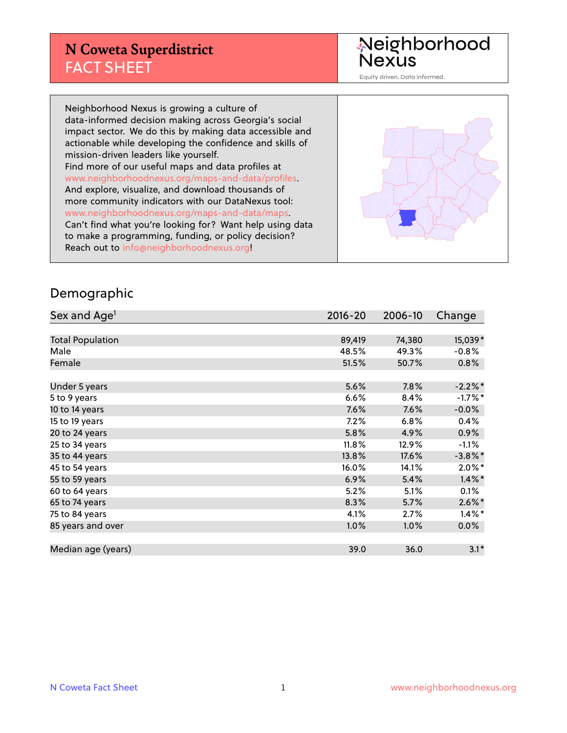## **N Coweta Superdistrict** FACT SHEET

Neighborhood<br>Nexus

Equity driven. Data informed.

Neighborhood Nexus is growing a culture of data-informed decision making across Georgia's social impact sector. We do this by making data accessible and actionable while developing the confidence and skills of mission-driven leaders like yourself. Find more of our useful maps and data profiles at www.neighborhoodnexus.org/maps-and-data/profiles. And explore, visualize, and download thousands of more community indicators with our DataNexus tool: www.neighborhoodnexus.org/maps-and-data/maps. Can't find what you're looking for? Want help using data to make a programming, funding, or policy decision? Reach out to [info@neighborhoodnexus.org!](mailto:info@neighborhoodnexus.org)



#### Demographic

| Sex and Age <sup>1</sup> | $2016 - 20$ | 2006-10 | Change     |
|--------------------------|-------------|---------|------------|
|                          |             |         |            |
| <b>Total Population</b>  | 89,419      | 74,380  | 15,039*    |
| Male                     | 48.5%       | 49.3%   | $-0.8%$    |
| Female                   | 51.5%       | 50.7%   | $0.8\%$    |
|                          |             |         |            |
| Under 5 years            | 5.6%        | 7.8%    | $-2.2%$ *  |
| 5 to 9 years             | 6.6%        | 8.4%    | $-1.7%$ *  |
| 10 to 14 years           | 7.6%        | 7.6%    | $-0.0%$    |
| 15 to 19 years           | 7.2%        | 6.8%    | 0.4%       |
| 20 to 24 years           | 5.8%        | 4.9%    | $0.9\%$    |
| 25 to 34 years           | 11.8%       | 12.9%   | $-1.1\%$   |
| 35 to 44 years           | 13.8%       | 17.6%   | $-3.8\%$ * |
| 45 to 54 years           | 16.0%       | 14.1%   | $2.0\%$ *  |
| 55 to 59 years           | 6.9%        | 5.4%    | $1.4\%$ *  |
| 60 to 64 years           | 5.2%        | 5.1%    | 0.1%       |
| 65 to 74 years           | 8.3%        | 5.7%    | $2.6\%$ *  |
| 75 to 84 years           | 4.1%        | 2.7%    | $1.4\%$ *  |
| 85 years and over        | 1.0%        | 1.0%    | $0.0\%$    |
|                          |             |         |            |
| Median age (years)       | 39.0        | 36.0    | $3.1*$     |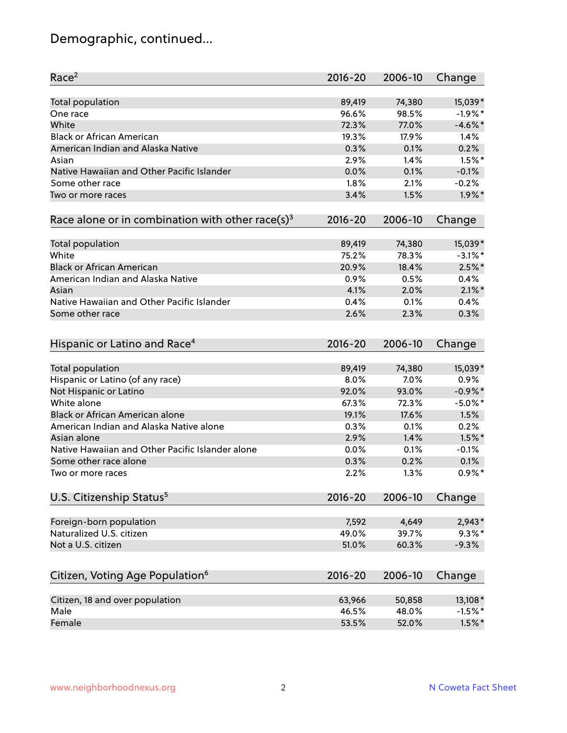# Demographic, continued...

| Race <sup>2</sup>                                            | $2016 - 20$ | 2006-10 | Change     |
|--------------------------------------------------------------|-------------|---------|------------|
| <b>Total population</b>                                      | 89,419      | 74,380  | 15,039*    |
| One race                                                     | 96.6%       | 98.5%   | $-1.9%$ *  |
| White                                                        | 72.3%       | 77.0%   | $-4.6\%$ * |
| <b>Black or African American</b>                             | 19.3%       | 17.9%   | 1.4%       |
| American Indian and Alaska Native                            | 0.3%        | 0.1%    | 0.2%       |
| Asian                                                        | 2.9%        | 1.4%    | $1.5%$ *   |
| Native Hawaiian and Other Pacific Islander                   | 0.0%        | 0.1%    | $-0.1%$    |
| Some other race                                              | 1.8%        | 2.1%    | $-0.2%$    |
| Two or more races                                            | 3.4%        | 1.5%    | $1.9\%$ *  |
| Race alone or in combination with other race(s) <sup>3</sup> | $2016 - 20$ | 2006-10 | Change     |
| <b>Total population</b>                                      | 89,419      | 74,380  | 15,039*    |
| White                                                        | 75.2%       | 78.3%   | $-3.1\%$ * |
| <b>Black or African American</b>                             | 20.9%       | 18.4%   | $2.5%$ *   |
| American Indian and Alaska Native                            | 0.9%        | 0.5%    | 0.4%       |
| Asian                                                        | 4.1%        | 2.0%    | $2.1\%$ *  |
| Native Hawaiian and Other Pacific Islander                   | 0.4%        | 0.1%    | 0.4%       |
| Some other race                                              | 2.6%        | 2.3%    | 0.3%       |
| Hispanic or Latino and Race <sup>4</sup>                     | $2016 - 20$ | 2006-10 | Change     |
| <b>Total population</b>                                      | 89,419      | 74,380  | 15,039*    |
| Hispanic or Latino (of any race)                             | 8.0%        | 7.0%    | 0.9%       |
| Not Hispanic or Latino                                       | 92.0%       | 93.0%   | $-0.9\%$ * |
| White alone                                                  | 67.3%       | 72.3%   | $-5.0\%$ * |
| Black or African American alone                              | 19.1%       | 17.6%   | 1.5%       |
| American Indian and Alaska Native alone                      | 0.3%        | 0.1%    | 0.2%       |
| Asian alone                                                  | 2.9%        | 1.4%    | $1.5\%$ *  |
| Native Hawaiian and Other Pacific Islander alone             | 0.0%        | 0.1%    | $-0.1%$    |
| Some other race alone                                        | 0.3%        | 0.2%    | 0.1%       |
| Two or more races                                            | 2.2%        | 1.3%    | $0.9\%$ *  |
| U.S. Citizenship Status <sup>5</sup>                         | 2016-20     | 2006-10 | Change     |
| Foreign-born population                                      | 7,592       | 4,649   | $2,943*$   |
| Naturalized U.S. citizen                                     | 49.0%       | 39.7%   | $9.3\%$ *  |
| Not a U.S. citizen                                           | 51.0%       | 60.3%   | $-9.3%$    |
|                                                              |             |         |            |
| Citizen, Voting Age Population <sup>6</sup>                  | 2016-20     | 2006-10 | Change     |
| Citizen, 18 and over population                              | 63,966      | 50,858  | 13,108*    |
| Male                                                         | 46.5%       | 48.0%   | $-1.5%$ *  |
| Female                                                       | 53.5%       | 52.0%   | $1.5\%$ *  |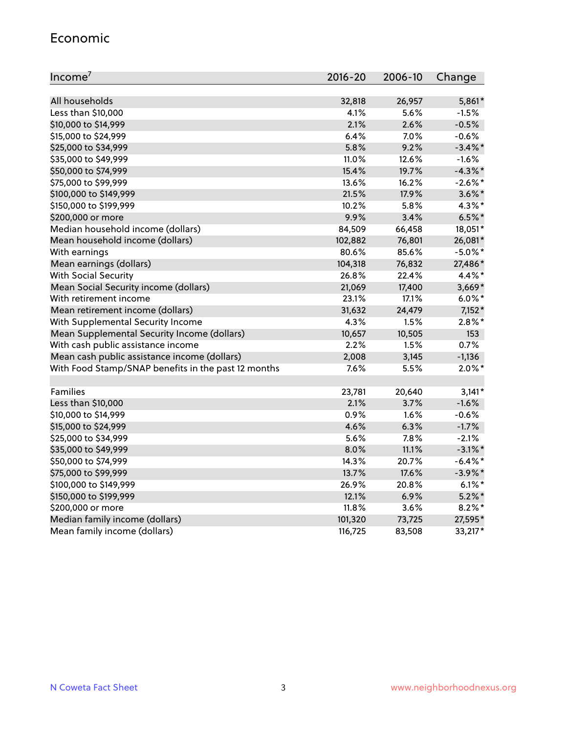#### Economic

| Income <sup>7</sup>                                 | 2016-20 | 2006-10 | Change     |
|-----------------------------------------------------|---------|---------|------------|
|                                                     |         |         |            |
| All households                                      | 32,818  | 26,957  | $5,861*$   |
| Less than \$10,000                                  | 4.1%    | 5.6%    | $-1.5%$    |
| \$10,000 to \$14,999                                | 2.1%    | 2.6%    | $-0.5%$    |
| \$15,000 to \$24,999                                | 6.4%    | 7.0%    | $-0.6%$    |
| \$25,000 to \$34,999                                | 5.8%    | 9.2%    | $-3.4\%$ * |
| \$35,000 to \$49,999                                | 11.0%   | 12.6%   | $-1.6%$    |
| \$50,000 to \$74,999                                | 15.4%   | 19.7%   | $-4.3\%$ * |
| \$75,000 to \$99,999                                | 13.6%   | 16.2%   | $-2.6\%$ * |
| \$100,000 to \$149,999                              | 21.5%   | 17.9%   | $3.6\%$ *  |
| \$150,000 to \$199,999                              | 10.2%   | 5.8%    | $4.3\%$ *  |
| \$200,000 or more                                   | 9.9%    | 3.4%    | $6.5%$ *   |
| Median household income (dollars)                   | 84,509  | 66,458  | 18,051*    |
| Mean household income (dollars)                     | 102,882 | 76,801  | 26,081*    |
| With earnings                                       | 80.6%   | 85.6%   | $-5.0\%$ * |
| Mean earnings (dollars)                             | 104,318 | 76,832  | 27,486*    |
| <b>With Social Security</b>                         | 26.8%   | 22.4%   | 4.4%*      |
| Mean Social Security income (dollars)               | 21,069  | 17,400  | $3,669*$   |
| With retirement income                              | 23.1%   | 17.1%   | $6.0\%$ *  |
| Mean retirement income (dollars)                    | 31,632  | 24,479  | $7,152*$   |
| With Supplemental Security Income                   | 4.3%    | 1.5%    | $2.8\%$ *  |
| Mean Supplemental Security Income (dollars)         | 10,657  | 10,505  | 153        |
| With cash public assistance income                  | 2.2%    | 1.5%    | 0.7%       |
| Mean cash public assistance income (dollars)        | 2,008   | 3,145   | $-1,136$   |
| With Food Stamp/SNAP benefits in the past 12 months | 7.6%    | 5.5%    | $2.0\%$ *  |
|                                                     |         |         |            |
| Families                                            | 23,781  | 20,640  | $3,141*$   |
| Less than \$10,000                                  | 2.1%    | 3.7%    | $-1.6%$    |
| \$10,000 to \$14,999                                | 0.9%    | 1.6%    | $-0.6%$    |
| \$15,000 to \$24,999                                | 4.6%    | 6.3%    | $-1.7%$    |
| \$25,000 to \$34,999                                | 5.6%    | 7.8%    | $-2.1%$    |
| \$35,000 to \$49,999                                | 8.0%    | 11.1%   | $-3.1\%$ * |
| \$50,000 to \$74,999                                | 14.3%   | 20.7%   | $-6.4\%$ * |
| \$75,000 to \$99,999                                | 13.7%   | 17.6%   | $-3.9\%$ * |
| \$100,000 to \$149,999                              | 26.9%   | 20.8%   | $6.1\%$ *  |
| \$150,000 to \$199,999                              | 12.1%   | 6.9%    | $5.2\%$ *  |
| \$200,000 or more                                   | 11.8%   | 3.6%    | $8.2\%$ *  |
| Median family income (dollars)                      | 101,320 | 73,725  | 27,595*    |
| Mean family income (dollars)                        | 116,725 | 83,508  | 33,217*    |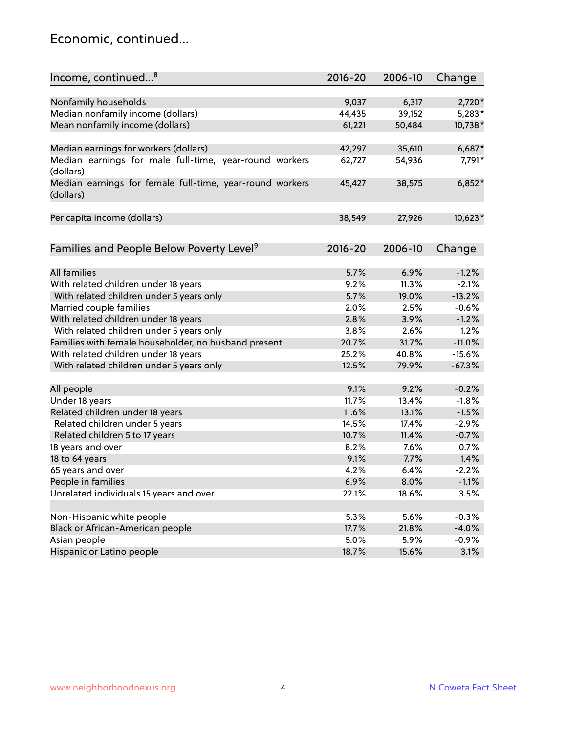#### Economic, continued...

| Income, continued <sup>8</sup>                                        | $2016 - 20$ | 2006-10 | Change   |
|-----------------------------------------------------------------------|-------------|---------|----------|
|                                                                       |             |         |          |
| Nonfamily households                                                  | 9,037       | 6,317   | 2,720*   |
| Median nonfamily income (dollars)                                     | 44,435      | 39,152  | $5,283*$ |
| Mean nonfamily income (dollars)                                       | 61,221      | 50,484  | 10,738*  |
| Median earnings for workers (dollars)                                 | 42,297      | 35,610  | 6,687*   |
| Median earnings for male full-time, year-round workers                | 62,727      | 54,936  | 7,791*   |
| (dollars)                                                             |             |         |          |
| Median earnings for female full-time, year-round workers<br>(dollars) | 45,427      | 38,575  | $6,852*$ |
| Per capita income (dollars)                                           | 38,549      | 27,926  | 10,623*  |
|                                                                       |             |         |          |
| Families and People Below Poverty Level <sup>9</sup>                  | $2016 - 20$ | 2006-10 | Change   |
| <b>All families</b>                                                   | 5.7%        | 6.9%    | $-1.2%$  |
| With related children under 18 years                                  | 9.2%        | 11.3%   | $-2.1%$  |
|                                                                       | 5.7%        | 19.0%   | $-13.2%$ |
| With related children under 5 years only                              | 2.0%        |         |          |
| Married couple families                                               | 2.8%        | 2.5%    | $-0.6%$  |
| With related children under 18 years                                  |             | 3.9%    | $-1.2%$  |
| With related children under 5 years only                              | 3.8%        | 2.6%    | 1.2%     |
| Families with female householder, no husband present                  | 20.7%       | 31.7%   | $-11.0%$ |
| With related children under 18 years                                  | 25.2%       | 40.8%   | $-15.6%$ |
| With related children under 5 years only                              | 12.5%       | 79.9%   | $-67.3%$ |
| All people                                                            | 9.1%        | 9.2%    | $-0.2%$  |
| Under 18 years                                                        | 11.7%       | 13.4%   | $-1.8%$  |
| Related children under 18 years                                       | 11.6%       | 13.1%   | $-1.5%$  |
| Related children under 5 years                                        | 14.5%       | 17.4%   | $-2.9%$  |
| Related children 5 to 17 years                                        | 10.7%       | 11.4%   | $-0.7%$  |
| 18 years and over                                                     | 8.2%        | 7.6%    | 0.7%     |
| 18 to 64 years                                                        | 9.1%        | 7.7%    | 1.4%     |
| 65 years and over                                                     | 4.2%        | 6.4%    | $-2.2%$  |
| People in families                                                    | 6.9%        | 8.0%    | $-1.1%$  |
| Unrelated individuals 15 years and over                               | 22.1%       | 18.6%   | 3.5%     |
|                                                                       |             |         |          |
| Non-Hispanic white people                                             | 5.3%        | 5.6%    | $-0.3%$  |
| Black or African-American people                                      | 17.7%       | 21.8%   | $-4.0%$  |
| Asian people                                                          | 5.0%        | 5.9%    | $-0.9%$  |
| Hispanic or Latino people                                             | 18.7%       | 15.6%   | 3.1%     |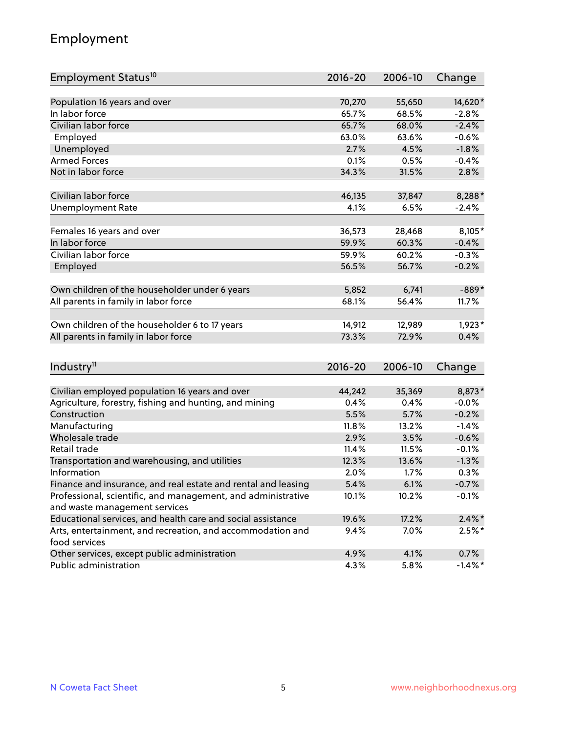## Employment

| Employment Status <sup>10</sup>                                             | $2016 - 20$ | 2006-10 | Change    |
|-----------------------------------------------------------------------------|-------------|---------|-----------|
|                                                                             |             |         |           |
| Population 16 years and over                                                | 70,270      | 55,650  | 14,620*   |
| In labor force                                                              | 65.7%       | 68.5%   | $-2.8%$   |
| Civilian labor force                                                        | 65.7%       | 68.0%   | $-2.4%$   |
| Employed                                                                    | 63.0%       | 63.6%   | $-0.6%$   |
| Unemployed                                                                  | 2.7%        | 4.5%    | $-1.8%$   |
| <b>Armed Forces</b>                                                         | 0.1%        | 0.5%    | $-0.4%$   |
| Not in labor force                                                          | 34.3%       | 31.5%   | 2.8%      |
| Civilian labor force                                                        | 46,135      | 37,847  | 8,288*    |
| <b>Unemployment Rate</b>                                                    | 4.1%        | 6.5%    | $-2.4%$   |
|                                                                             |             |         |           |
| Females 16 years and over                                                   | 36,573      | 28,468  | 8,105*    |
| In labor force                                                              | 59.9%       | 60.3%   | $-0.4%$   |
| Civilian labor force                                                        | 59.9%       | 60.2%   | $-0.3%$   |
| Employed                                                                    | 56.5%       | 56.7%   | $-0.2%$   |
|                                                                             |             |         |           |
| Own children of the householder under 6 years                               | 5,852       | 6,741   | $-889*$   |
| All parents in family in labor force                                        | 68.1%       | 56.4%   | 11.7%     |
| Own children of the householder 6 to 17 years                               | 14,912      | 12,989  | $1,923*$  |
| All parents in family in labor force                                        | 73.3%       | 72.9%   | 0.4%      |
|                                                                             |             |         |           |
| Industry <sup>11</sup>                                                      | $2016 - 20$ | 2006-10 | Change    |
|                                                                             |             |         |           |
| Civilian employed population 16 years and over                              | 44,242      | 35,369  | 8,873*    |
| Agriculture, forestry, fishing and hunting, and mining                      | 0.4%        | 0.4%    | $-0.0%$   |
| Construction                                                                | 5.5%        | 5.7%    | $-0.2%$   |
| Manufacturing                                                               | 11.8%       | 13.2%   | $-1.4%$   |
| Wholesale trade                                                             | 2.9%        | 3.5%    | $-0.6%$   |
| Retail trade                                                                | 11.4%       | 11.5%   | $-0.1%$   |
| Transportation and warehousing, and utilities                               | 12.3%       | 13.6%   | $-1.3%$   |
| Information                                                                 | 2.0%        | 1.7%    | 0.3%      |
| Finance and insurance, and real estate and rental and leasing               | 5.4%        | 6.1%    | $-0.7%$   |
| Professional, scientific, and management, and administrative                | 10.1%       | 10.2%   | $-0.1%$   |
| and waste management services                                               |             |         |           |
| Educational services, and health care and social assistance                 | 19.6%       | 17.2%   | $2.4\%$ * |
| Arts, entertainment, and recreation, and accommodation and<br>food services | 9.4%        | 7.0%    | $2.5%$ *  |
| Other services, except public administration                                | 4.9%        | 4.1%    | 0.7%      |
| Public administration                                                       | 4.3%        | 5.8%    | $-1.4%$ * |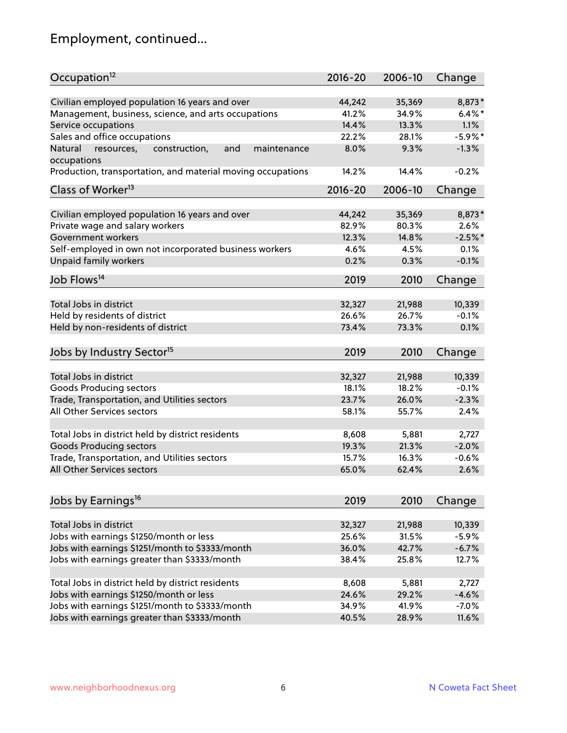# Employment, continued...

| Occupation <sup>12</sup>                                                    | $2016 - 20$ | 2006-10 | Change     |
|-----------------------------------------------------------------------------|-------------|---------|------------|
| Civilian employed population 16 years and over                              | 44,242      | 35,369  | 8,873*     |
| Management, business, science, and arts occupations                         | 41.2%       | 34.9%   | $6.4\%$ *  |
| Service occupations                                                         | 14.4%       | 13.3%   | 1.1%       |
| Sales and office occupations                                                | 22.2%       | 28.1%   | $-5.9\%$ * |
|                                                                             |             | 9.3%    | $-1.3%$    |
| Natural<br>and<br>maintenance<br>resources,<br>construction,<br>occupations | 8.0%        |         |            |
| Production, transportation, and material moving occupations                 | 14.2%       | 14.4%   | $-0.2%$    |
| Class of Worker <sup>13</sup>                                               | $2016 - 20$ | 2006-10 | Change     |
|                                                                             |             |         |            |
| Civilian employed population 16 years and over                              | 44,242      | 35,369  | 8,873*     |
| Private wage and salary workers                                             | 82.9%       | 80.3%   | 2.6%       |
| Government workers                                                          | 12.3%       | 14.8%   | $-2.5%$ *  |
| Self-employed in own not incorporated business workers                      | 4.6%        | 4.5%    | 0.1%       |
| Unpaid family workers                                                       | 0.2%        | 0.3%    | $-0.1%$    |
| Job Flows <sup>14</sup>                                                     | 2019        | 2010    | Change     |
|                                                                             |             |         |            |
| Total Jobs in district                                                      | 32,327      | 21,988  | 10,339     |
| Held by residents of district                                               | 26.6%       | 26.7%   | $-0.1%$    |
| Held by non-residents of district                                           | 73.4%       | 73.3%   | 0.1%       |
| Jobs by Industry Sector <sup>15</sup>                                       | 2019        | 2010    | Change     |
|                                                                             |             |         |            |
| Total Jobs in district                                                      | 32,327      | 21,988  | 10,339     |
| Goods Producing sectors                                                     | 18.1%       | 18.2%   | $-0.1%$    |
| Trade, Transportation, and Utilities sectors                                | 23.7%       | 26.0%   | $-2.3%$    |
| All Other Services sectors                                                  | 58.1%       | 55.7%   | 2.4%       |
|                                                                             |             |         |            |
| Total Jobs in district held by district residents                           | 8,608       | 5,881   | 2,727      |
| <b>Goods Producing sectors</b>                                              | 19.3%       | 21.3%   | $-2.0%$    |
| Trade, Transportation, and Utilities sectors                                | 15.7%       | 16.3%   | $-0.6%$    |
| All Other Services sectors                                                  | 65.0%       | 62.4%   | 2.6%       |
|                                                                             |             |         |            |
| Jobs by Earnings <sup>16</sup>                                              | 2019        | 2010    | Change     |
|                                                                             |             |         |            |
| Total Jobs in district                                                      | 32,327      | 21,988  | 10,339     |
| Jobs with earnings \$1250/month or less                                     | 25.6%       | 31.5%   | $-5.9%$    |
| Jobs with earnings \$1251/month to \$3333/month                             | 36.0%       | 42.7%   | $-6.7%$    |
| Jobs with earnings greater than \$3333/month                                | 38.4%       | 25.8%   | 12.7%      |
| Total Jobs in district held by district residents                           | 8,608       | 5,881   | 2,727      |
| Jobs with earnings \$1250/month or less                                     | 24.6%       | 29.2%   | $-4.6%$    |
| Jobs with earnings \$1251/month to \$3333/month                             | 34.9%       | 41.9%   | $-7.0%$    |
| Jobs with earnings greater than \$3333/month                                | 40.5%       | 28.9%   | 11.6%      |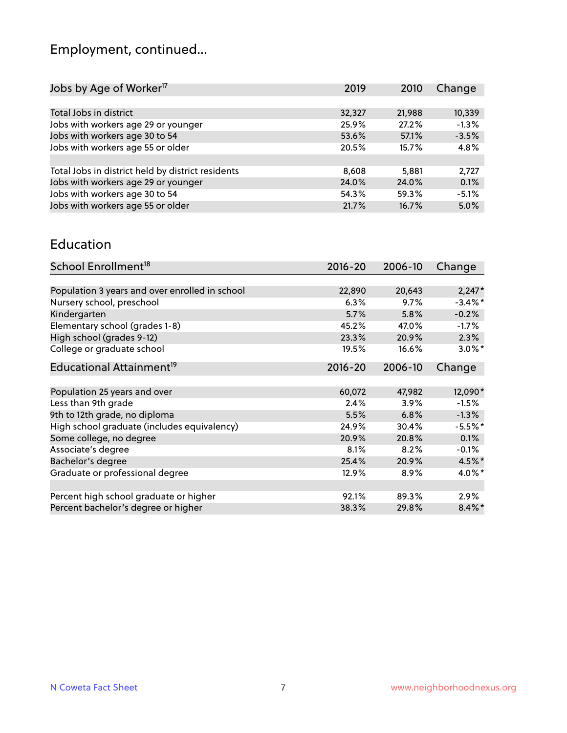# Employment, continued...

| 2019   | 2010   | Change  |
|--------|--------|---------|
|        |        |         |
| 32,327 | 21,988 | 10,339  |
| 25.9%  | 27.2%  | $-1.3%$ |
| 53.6%  | 57.1%  | $-3.5%$ |
| 20.5%  | 15.7%  | 4.8%    |
|        |        |         |
| 8,608  | 5,881  | 2,727   |
| 24.0%  | 24.0%  | 0.1%    |
| 54.3%  | 59.3%  | $-5.1%$ |
| 21.7%  | 16.7%  | 5.0%    |
|        |        |         |

#### Education

| School Enrollment <sup>18</sup>                | $2016 - 20$ | 2006-10 | Change     |
|------------------------------------------------|-------------|---------|------------|
|                                                |             |         |            |
| Population 3 years and over enrolled in school | 22,890      | 20,643  | $2,247*$   |
| Nursery school, preschool                      | 6.3%        | 9.7%    | $-3.4\%$ * |
| Kindergarten                                   | 5.7%        | 5.8%    | $-0.2%$    |
| Elementary school (grades 1-8)                 | 45.2%       | 47.0%   | $-1.7\%$   |
| High school (grades 9-12)                      | 23.3%       | 20.9%   | 2.3%       |
| College or graduate school                     | 19.5%       | 16.6%   | $3.0\%$ *  |
| Educational Attainment <sup>19</sup>           | 2016-20     | 2006-10 | Change     |
|                                                |             |         |            |
| Population 25 years and over                   | 60,072      | 47,982  | 12,090*    |
| Less than 9th grade                            | 2.4%        | 3.9%    | $-1.5%$    |
| 9th to 12th grade, no diploma                  | 5.5%        | 6.8%    | $-1.3%$    |
| High school graduate (includes equivalency)    | 24.9%       | 30.4%   | $-5.5%$ *  |
| Some college, no degree                        | 20.9%       | 20.8%   | 0.1%       |
| Associate's degree                             | 8.1%        | 8.2%    | $-0.1%$    |
| Bachelor's degree                              | 25.4%       | 20.9%   | $4.5\%$ *  |
| Graduate or professional degree                | 12.9%       | 8.9%    | 4.0%*      |
| Percent high school graduate or higher         | 92.1%       | 89.3%   | $2.9\%$    |
| Percent bachelor's degree or higher            | 38.3%       | 29.8%   | $8.4\%$ *  |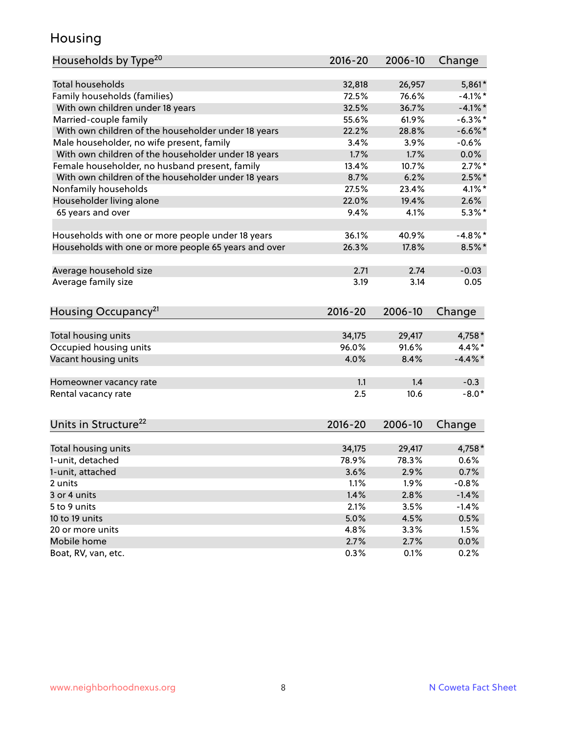#### Housing

| Households by Type <sup>20</sup>                     | 2016-20     | 2006-10 | Change     |
|------------------------------------------------------|-------------|---------|------------|
|                                                      |             |         |            |
| <b>Total households</b>                              | 32,818      | 26,957  | 5,861*     |
| Family households (families)                         | 72.5%       | 76.6%   | $-4.1%$ *  |
| With own children under 18 years                     | 32.5%       | 36.7%   | $-4.1\%$ * |
| Married-couple family                                | 55.6%       | 61.9%   | $-6.3\%$ * |
| With own children of the householder under 18 years  | 22.2%       | 28.8%   | $-6.6\%$ * |
| Male householder, no wife present, family            | 3.4%        | 3.9%    | $-0.6%$    |
| With own children of the householder under 18 years  | 1.7%        | 1.7%    | 0.0%       |
| Female householder, no husband present, family       | 13.4%       | 10.7%   | $2.7\%$ *  |
| With own children of the householder under 18 years  | 8.7%        | 6.2%    | $2.5\%$ *  |
| Nonfamily households                                 | 27.5%       | 23.4%   | $4.1\%$ *  |
| Householder living alone                             | 22.0%       | 19.4%   | 2.6%       |
| 65 years and over                                    | 9.4%        | 4.1%    | $5.3\%$ *  |
|                                                      |             |         |            |
| Households with one or more people under 18 years    | 36.1%       | 40.9%   | $-4.8\%$ * |
| Households with one or more people 65 years and over | 26.3%       | 17.8%   | $8.5%$ *   |
|                                                      |             |         |            |
| Average household size                               | 2.71        | 2.74    | $-0.03$    |
| Average family size                                  | 3.19        | 3.14    | 0.05       |
|                                                      |             |         |            |
| Housing Occupancy <sup>21</sup>                      | $2016 - 20$ | 2006-10 | Change     |
|                                                      |             |         |            |
| Total housing units                                  | 34,175      | 29,417  | 4,758*     |
| Occupied housing units                               | 96.0%       | 91.6%   | 4.4%*      |
| Vacant housing units                                 | 4.0%        | 8.4%    | $-4.4\%$ * |
|                                                      |             |         |            |
| Homeowner vacancy rate                               | 1.1         | 1.4     | $-0.3$     |
| Rental vacancy rate                                  | 2.5         | 10.6    | $-8.0*$    |
|                                                      |             |         |            |
|                                                      |             |         |            |
| Units in Structure <sup>22</sup>                     | $2016 - 20$ | 2006-10 | Change     |
|                                                      | 34,175      | 29,417  | 4,758 *    |
| Total housing units                                  | 78.9%       | 78.3%   | 0.6%       |
| 1-unit, detached                                     |             |         |            |
| 1-unit, attached                                     | 3.6%        | 2.9%    | 0.7%       |
| 2 units                                              | 1.1%        | 1.9%    | $-0.8%$    |
| 3 or 4 units                                         | 1.4%        | 2.8%    | $-1.4%$    |
| 5 to 9 units                                         | 2.1%        | 3.5%    | $-1.4%$    |
| 10 to 19 units                                       | 5.0%        | 4.5%    | 0.5%       |
| 20 or more units                                     | 4.8%        | 3.3%    | 1.5%       |
| Mobile home                                          | 2.7%        | 2.7%    | $0.0\%$    |
| Boat, RV, van, etc.                                  | 0.3%        | 0.1%    | 0.2%       |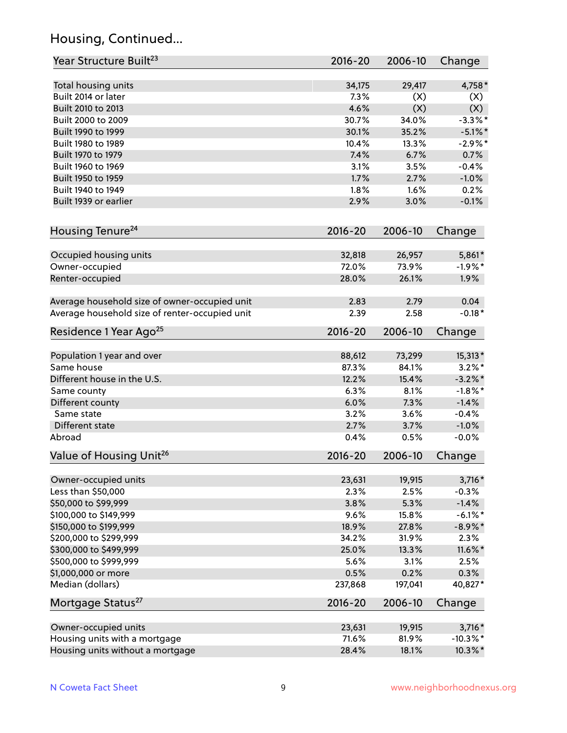## Housing, Continued...

| Year Structure Built <sup>23</sup>             | 2016-20     | 2006-10 | Change      |
|------------------------------------------------|-------------|---------|-------------|
| Total housing units                            | 34,175      | 29,417  | $4,758*$    |
| Built 2014 or later                            | 7.3%        | (X)     | (X)         |
| Built 2010 to 2013                             | 4.6%        | (X)     | (X)         |
| Built 2000 to 2009                             | 30.7%       | 34.0%   | $-3.3\%$ *  |
| Built 1990 to 1999                             | 30.1%       | 35.2%   | $-5.1\%$ *  |
| Built 1980 to 1989                             | 10.4%       | 13.3%   | $-2.9%$ *   |
| Built 1970 to 1979                             | 7.4%        | 6.7%    | 0.7%        |
| Built 1960 to 1969                             | 3.1%        | 3.5%    | $-0.4%$     |
| Built 1950 to 1959                             | 1.7%        | 2.7%    | $-1.0%$     |
| Built 1940 to 1949                             | 1.8%        | 1.6%    | 0.2%        |
| Built 1939 or earlier                          | 2.9%        | 3.0%    | $-0.1%$     |
|                                                |             |         |             |
| Housing Tenure <sup>24</sup>                   | $2016 - 20$ | 2006-10 | Change      |
| Occupied housing units                         | 32,818      | 26,957  | 5,861*      |
| Owner-occupied                                 | 72.0%       | 73.9%   | $-1.9%$ *   |
| Renter-occupied                                | 28.0%       | 26.1%   | 1.9%        |
| Average household size of owner-occupied unit  | 2.83        | 2.79    | 0.04        |
| Average household size of renter-occupied unit | 2.39        | 2.58    | $-0.18*$    |
| Residence 1 Year Ago <sup>25</sup>             | $2016 - 20$ | 2006-10 | Change      |
|                                                |             |         |             |
| Population 1 year and over                     | 88,612      | 73,299  | 15,313*     |
| Same house                                     | 87.3%       | 84.1%   | $3.2\%$ *   |
| Different house in the U.S.                    | 12.2%       | 15.4%   | $-3.2\%$ *  |
| Same county                                    | 6.3%        | 8.1%    | $-1.8\%$ *  |
| Different county                               | 6.0%        | 7.3%    | $-1.4%$     |
| Same state                                     | 3.2%        | 3.6%    | $-0.4%$     |
| Different state                                | 2.7%        | 3.7%    | $-1.0%$     |
| Abroad                                         | 0.4%        | 0.5%    | $-0.0%$     |
| Value of Housing Unit <sup>26</sup>            | $2016 - 20$ | 2006-10 | Change      |
| Owner-occupied units                           | 23,631      | 19,915  | $3,716*$    |
| Less than \$50,000                             | 2.3%        | 2.5%    | $-0.3%$     |
| \$50,000 to \$99,999                           | 3.8%        | 5.3%    | $-1.4%$     |
| \$100,000 to \$149,999                         | 9.6%        | 15.8%   | $-6.1\%$ *  |
| \$150,000 to \$199,999                         | 18.9%       | 27.8%   | $-8.9\%$ *  |
| \$200,000 to \$299,999                         | 34.2%       | 31.9%   | 2.3%        |
| \$300,000 to \$499,999                         | 25.0%       | 13.3%   | 11.6%*      |
| \$500,000 to \$999,999                         | 5.6%        | 3.1%    | 2.5%        |
| \$1,000,000 or more                            | 0.5%        | 0.2%    | 0.3%        |
| Median (dollars)                               | 237,868     | 197,041 | 40,827*     |
| Mortgage Status <sup>27</sup>                  | $2016 - 20$ | 2006-10 | Change      |
| Owner-occupied units                           | 23,631      | 19,915  | $3,716*$    |
| Housing units with a mortgage                  | 71.6%       | 81.9%   | $-10.3\%$ * |
| Housing units without a mortgage               | 28.4%       | 18.1%   | 10.3%*      |
|                                                |             |         |             |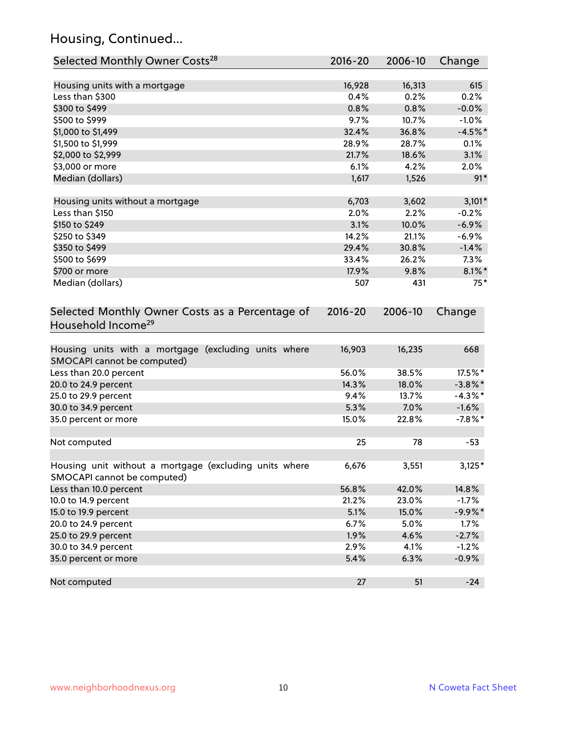## Housing, Continued...

| Selected Monthly Owner Costs <sup>28</sup>                                            | 2016-20     | 2006-10 | Change     |
|---------------------------------------------------------------------------------------|-------------|---------|------------|
| Housing units with a mortgage                                                         | 16,928      | 16,313  | 615        |
| Less than \$300                                                                       | 0.4%        | 0.2%    | 0.2%       |
| \$300 to \$499                                                                        | 0.8%        | 0.8%    | $-0.0%$    |
| \$500 to \$999                                                                        | 9.7%        | 10.7%   | $-1.0%$    |
| \$1,000 to \$1,499                                                                    | 32.4%       | 36.8%   | $-4.5%$ *  |
| \$1,500 to \$1,999                                                                    | 28.9%       | 28.7%   | 0.1%       |
| \$2,000 to \$2,999                                                                    | 21.7%       | 18.6%   | 3.1%       |
| \$3,000 or more                                                                       | 6.1%        | 4.2%    | 2.0%       |
| Median (dollars)                                                                      | 1,617       | 1,526   | $91*$      |
|                                                                                       |             |         |            |
| Housing units without a mortgage                                                      | 6,703       | 3,602   | $3,101*$   |
| Less than \$150                                                                       | 2.0%        | 2.2%    | $-0.2%$    |
| \$150 to \$249                                                                        | 3.1%        | 10.0%   | $-6.9%$    |
| \$250 to \$349                                                                        | 14.2%       | 21.1%   | $-6.9%$    |
| \$350 to \$499                                                                        | 29.4%       | 30.8%   | $-1.4%$    |
| \$500 to \$699                                                                        | 33.4%       | 26.2%   | 7.3%       |
| \$700 or more                                                                         | 17.9%       | 9.8%    | $8.1\%$ *  |
| Median (dollars)                                                                      | 507         | 431     | $75*$      |
| Selected Monthly Owner Costs as a Percentage of<br>Household Income <sup>29</sup>     | $2016 - 20$ | 2006-10 | Change     |
| Housing units with a mortgage (excluding units where<br>SMOCAPI cannot be computed)   | 16,903      | 16,235  | 668        |
| Less than 20.0 percent                                                                | 56.0%       | 38.5%   | 17.5%*     |
| 20.0 to 24.9 percent                                                                  | 14.3%       | 18.0%   | $-3.8\%$ * |
| 25.0 to 29.9 percent                                                                  | 9.4%        | 13.7%   | $-4.3\%$ * |
| 30.0 to 34.9 percent                                                                  | 5.3%        | 7.0%    | $-1.6%$    |
| 35.0 percent or more                                                                  | 15.0%       | 22.8%   | $-7.8\%$ * |
| Not computed                                                                          | 25          | 78      | $-53$      |
| Housing unit without a mortgage (excluding units where<br>SMOCAPI cannot be computed) | 6,676       | 3,551   | $3,125*$   |
| Less than 10.0 percent                                                                | 56.8%       | 42.0%   | 14.8%      |
| 10.0 to 14.9 percent                                                                  | 21.2%       | 23.0%   | $-1.7%$    |
| 15.0 to 19.9 percent                                                                  | 5.1%        | 15.0%   | $-9.9%$ *  |
| 20.0 to 24.9 percent                                                                  | 6.7%        | 5.0%    | 1.7%       |
| 25.0 to 29.9 percent                                                                  | 1.9%        | 4.6%    | $-2.7%$    |
| 30.0 to 34.9 percent                                                                  | 2.9%        | 4.1%    | $-1.2%$    |
| 35.0 percent or more                                                                  | 5.4%        | 6.3%    | $-0.9%$    |
| Not computed                                                                          | 27          | 51      | $-24$      |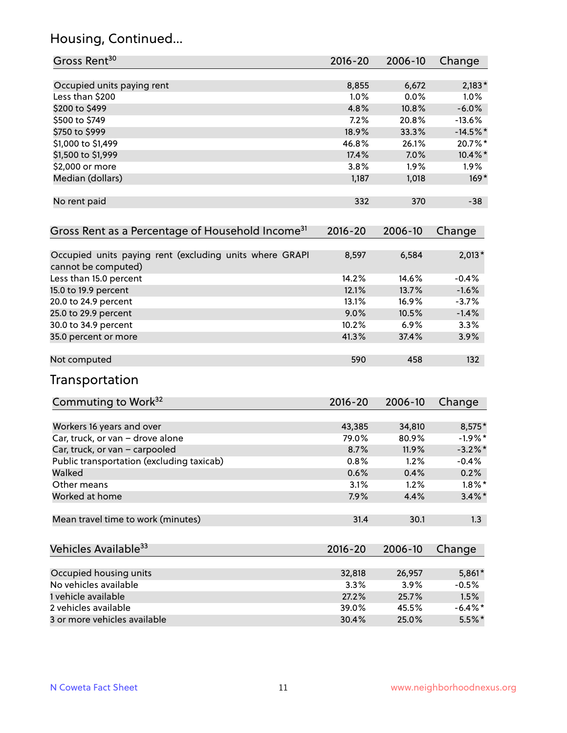## Housing, Continued...

| Gross Rent <sup>30</sup>                                                       | 2016-20     | 2006-10 | Change     |
|--------------------------------------------------------------------------------|-------------|---------|------------|
| Occupied units paying rent                                                     | 8,855       | 6,672   | $2,183*$   |
| Less than \$200                                                                | 1.0%        | 0.0%    | 1.0%       |
| \$200 to \$499                                                                 | 4.8%        | 10.8%   | $-6.0%$    |
| \$500 to \$749                                                                 | 7.2%        | 20.8%   | $-13.6%$   |
| \$750 to \$999                                                                 | 18.9%       | 33.3%   | $-14.5%$ * |
| \$1,000 to \$1,499                                                             | 46.8%       | 26.1%   | 20.7%*     |
| \$1,500 to \$1,999                                                             | 17.4%       | 7.0%    | $10.4\%$ * |
| \$2,000 or more                                                                | 3.8%        | 1.9%    | $1.9\%$    |
| Median (dollars)                                                               | 1,187       | 1,018   | $169*$     |
| No rent paid                                                                   | 332         | 370     | $-38$      |
| Gross Rent as a Percentage of Household Income <sup>31</sup>                   | $2016 - 20$ | 2006-10 | Change     |
| Occupied units paying rent (excluding units where GRAPI<br>cannot be computed) | 8,597       | 6,584   | $2,013*$   |
| Less than 15.0 percent                                                         | 14.2%       | 14.6%   | $-0.4%$    |
| 15.0 to 19.9 percent                                                           | 12.1%       | 13.7%   | $-1.6%$    |
| 20.0 to 24.9 percent                                                           | 13.1%       | 16.9%   | $-3.7%$    |
| 25.0 to 29.9 percent                                                           | 9.0%        | 10.5%   | $-1.4%$    |
| 30.0 to 34.9 percent                                                           | 10.2%       | 6.9%    | 3.3%       |
| 35.0 percent or more                                                           | 41.3%       | 37.4%   | 3.9%       |
| Not computed                                                                   | 590         | 458     | 132        |
| Transportation                                                                 |             |         |            |
| Commuting to Work <sup>32</sup>                                                | 2016-20     | 2006-10 | Change     |
| Workers 16 years and over                                                      | 43,385      | 34,810  | 8,575*     |
| Car, truck, or van - drove alone                                               | 79.0%       | 80.9%   | $-1.9%$ *  |
| Car, truck, or van - carpooled                                                 | 8.7%        | 11.9%   | $-3.2\%$ * |
| Public transportation (excluding taxicab)                                      | 0.8%        | 1.2%    | $-0.4%$    |
| Walked                                                                         | 0.6%        | 0.4%    | 0.2%       |
| Other means                                                                    | 3.1%        | 1.2%    | $1.8\%$ *  |
| Worked at home                                                                 | 7.9%        | 4.4%    | $3.4\%$ *  |
| Mean travel time to work (minutes)                                             | 31.4        | 30.1    | 1.3        |
| Vehicles Available <sup>33</sup>                                               | 2016-20     | 2006-10 | Change     |
| Occupied housing units                                                         | 32,818      | 26,957  | $5,861*$   |
| No vehicles available                                                          | 3.3%        | 3.9%    | $-0.5%$    |
| 1 vehicle available                                                            | 27.2%       | 25.7%   | 1.5%       |
| 2 vehicles available                                                           | 39.0%       | 45.5%   | $-6.4\%$ * |
| 3 or more vehicles available                                                   | 30.4%       | 25.0%   | $5.5%$ *   |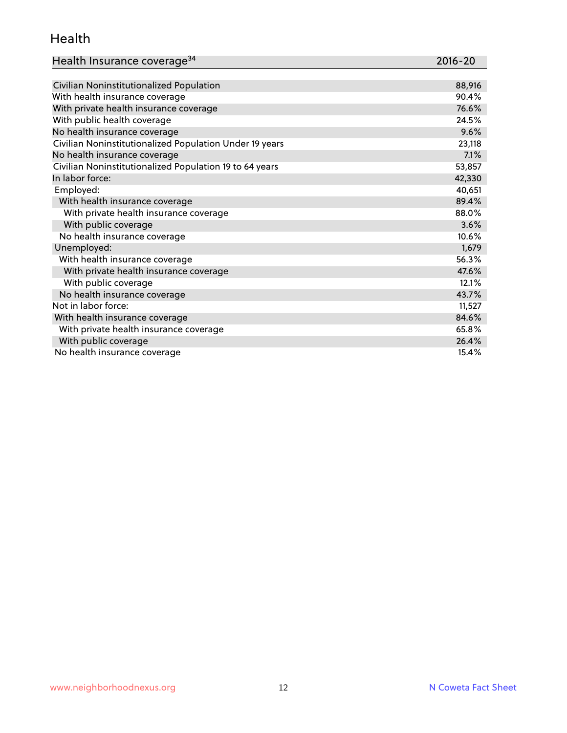#### Health

| Health Insurance coverage <sup>34</sup>                 | 2016-20 |
|---------------------------------------------------------|---------|
|                                                         |         |
| Civilian Noninstitutionalized Population                | 88,916  |
| With health insurance coverage                          | 90.4%   |
| With private health insurance coverage                  | 76.6%   |
| With public health coverage                             | 24.5%   |
| No health insurance coverage                            | 9.6%    |
| Civilian Noninstitutionalized Population Under 19 years | 23,118  |
| No health insurance coverage                            | 7.1%    |
| Civilian Noninstitutionalized Population 19 to 64 years | 53,857  |
| In labor force:                                         | 42,330  |
| Employed:                                               | 40,651  |
| With health insurance coverage                          | 89.4%   |
| With private health insurance coverage                  | 88.0%   |
| With public coverage                                    | 3.6%    |
| No health insurance coverage                            | 10.6%   |
| Unemployed:                                             | 1,679   |
| With health insurance coverage                          | 56.3%   |
| With private health insurance coverage                  | 47.6%   |
| With public coverage                                    | 12.1%   |
| No health insurance coverage                            | 43.7%   |
| Not in labor force:                                     | 11,527  |
| With health insurance coverage                          | 84.6%   |
| With private health insurance coverage                  | 65.8%   |
|                                                         |         |

With public coverage  $26.4\%$ No health insurance coverage 15.4%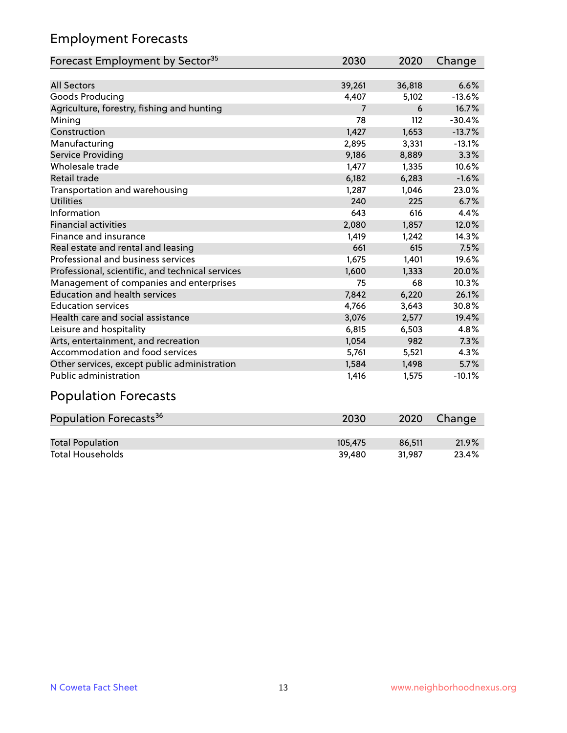## Employment Forecasts

| Forecast Employment by Sector <sup>35</sup>      | 2030   | 2020   | Change   |
|--------------------------------------------------|--------|--------|----------|
|                                                  |        |        |          |
| <b>All Sectors</b>                               | 39,261 | 36,818 | 6.6%     |
| Goods Producing                                  | 4,407  | 5,102  | $-13.6%$ |
| Agriculture, forestry, fishing and hunting       | 7      | 6      | 16.7%    |
| Mining                                           | 78     | 112    | $-30.4%$ |
| Construction                                     | 1,427  | 1,653  | $-13.7%$ |
| Manufacturing                                    | 2,895  | 3,331  | $-13.1%$ |
| Service Providing                                | 9,186  | 8,889  | 3.3%     |
| Wholesale trade                                  | 1,477  | 1,335  | 10.6%    |
| <b>Retail trade</b>                              | 6,182  | 6,283  | $-1.6%$  |
| Transportation and warehousing                   | 1,287  | 1,046  | 23.0%    |
| <b>Utilities</b>                                 | 240    | 225    | 6.7%     |
| Information                                      | 643    | 616    | 4.4%     |
| <b>Financial activities</b>                      | 2,080  | 1,857  | 12.0%    |
| Finance and insurance                            | 1,419  | 1,242  | 14.3%    |
| Real estate and rental and leasing               | 661    | 615    | 7.5%     |
| Professional and business services               | 1,675  | 1,401  | 19.6%    |
| Professional, scientific, and technical services | 1,600  | 1,333  | 20.0%    |
| Management of companies and enterprises          | 75     | 68     | 10.3%    |
| <b>Education and health services</b>             | 7,842  | 6,220  | 26.1%    |
| <b>Education services</b>                        | 4,766  | 3,643  | 30.8%    |
| Health care and social assistance                | 3,076  | 2,577  | 19.4%    |
| Leisure and hospitality                          | 6,815  | 6,503  | 4.8%     |
| Arts, entertainment, and recreation              | 1,054  | 982    | 7.3%     |
| Accommodation and food services                  | 5,761  | 5,521  | 4.3%     |
| Other services, except public administration     | 1,584  | 1,498  | 5.7%     |
| Public administration                            | 1,416  | 1,575  | $-10.1%$ |

# Population Forecasts

| Population Forecasts <sup>36</sup> | 2030    | 2020   | Change |
|------------------------------------|---------|--------|--------|
|                                    |         |        |        |
| <b>Total Population</b>            | 105,475 | 86.511 | 21.9%  |
| <b>Total Households</b>            | 39.480  | 31.987 | 23.4%  |